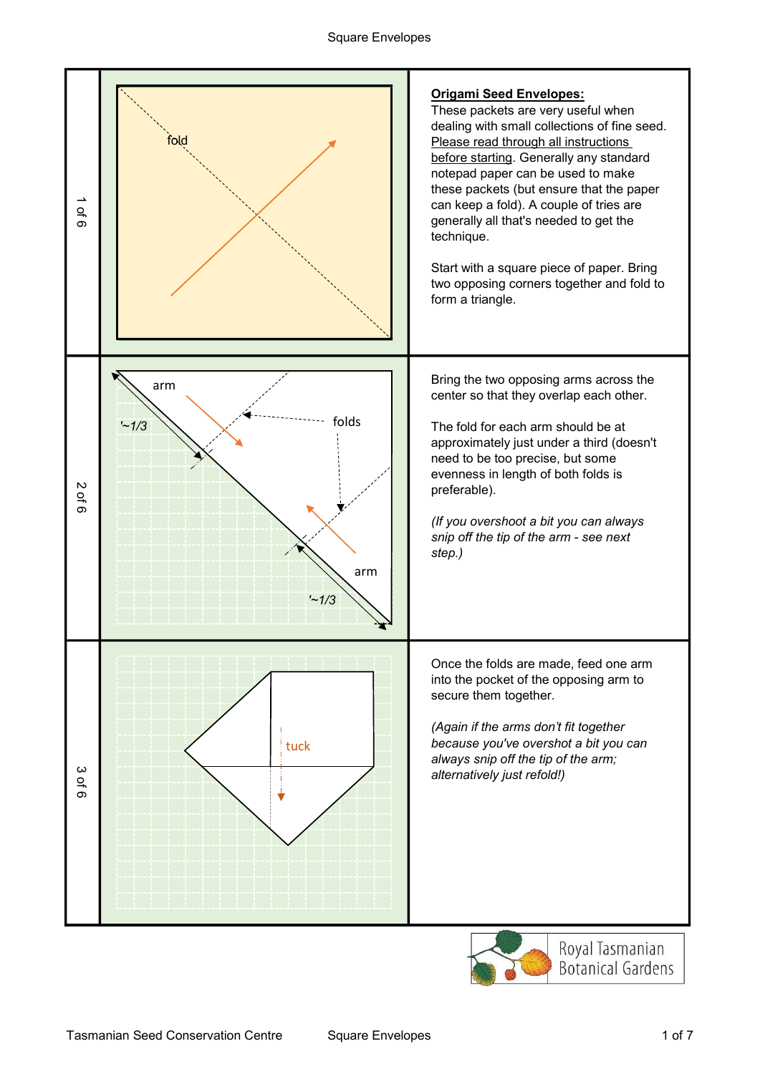

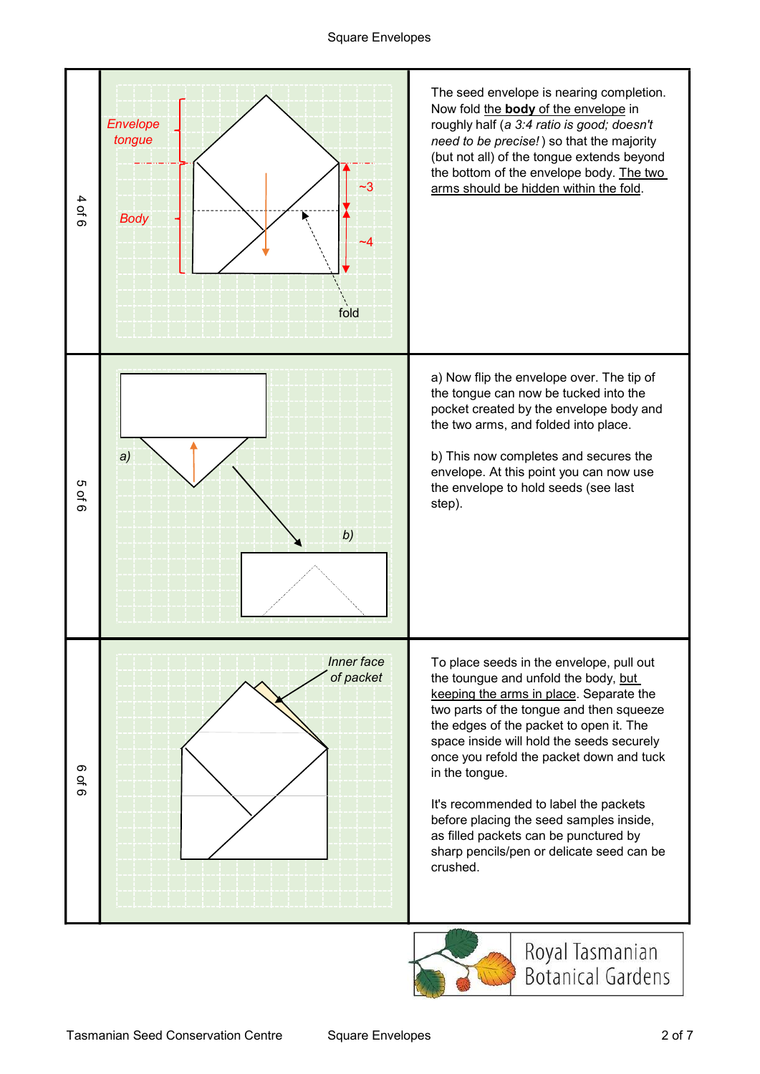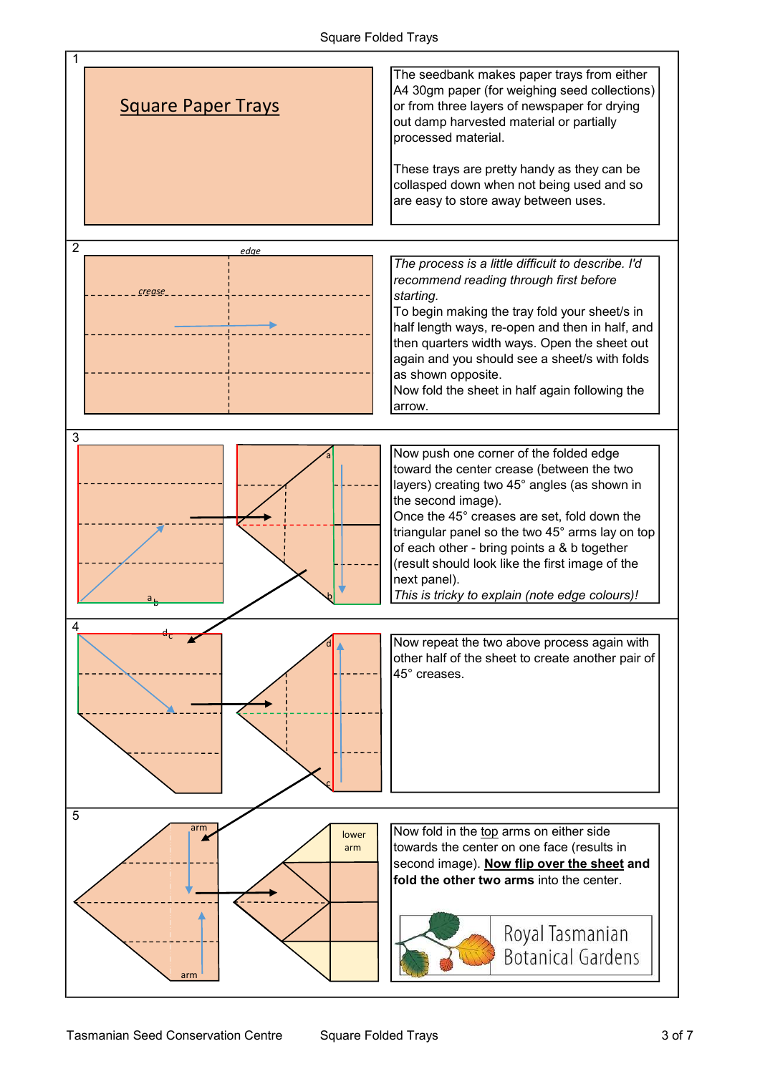## Square Folded Trays

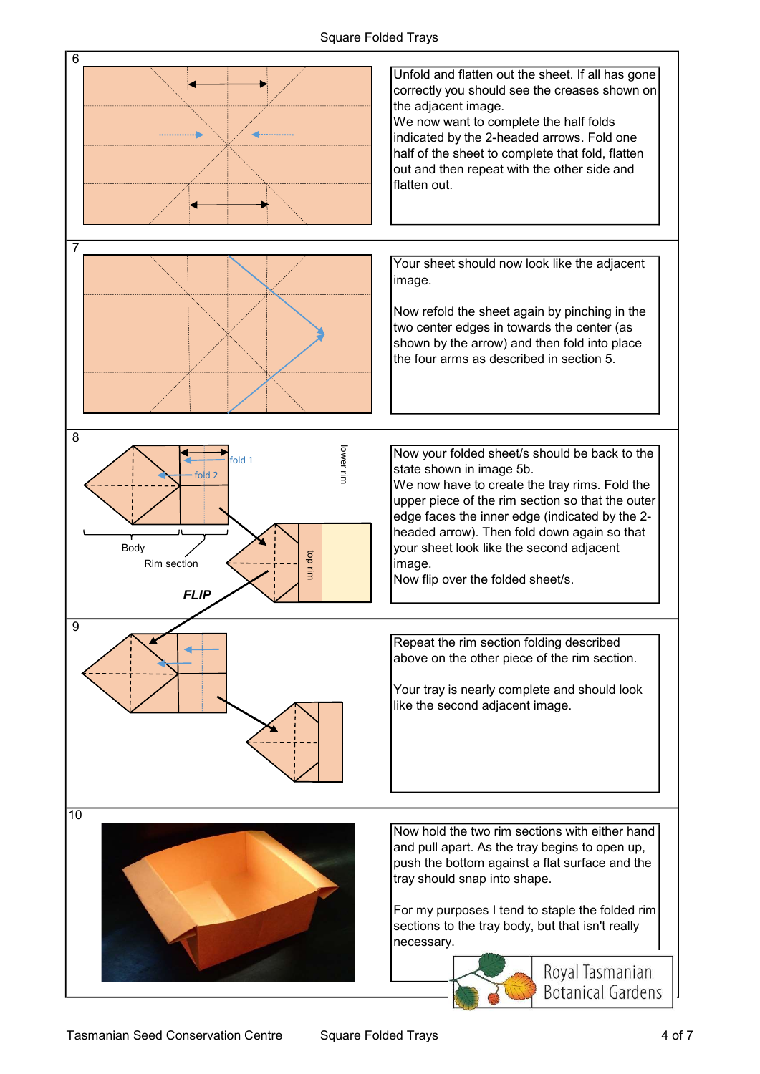## Square Folded Trays

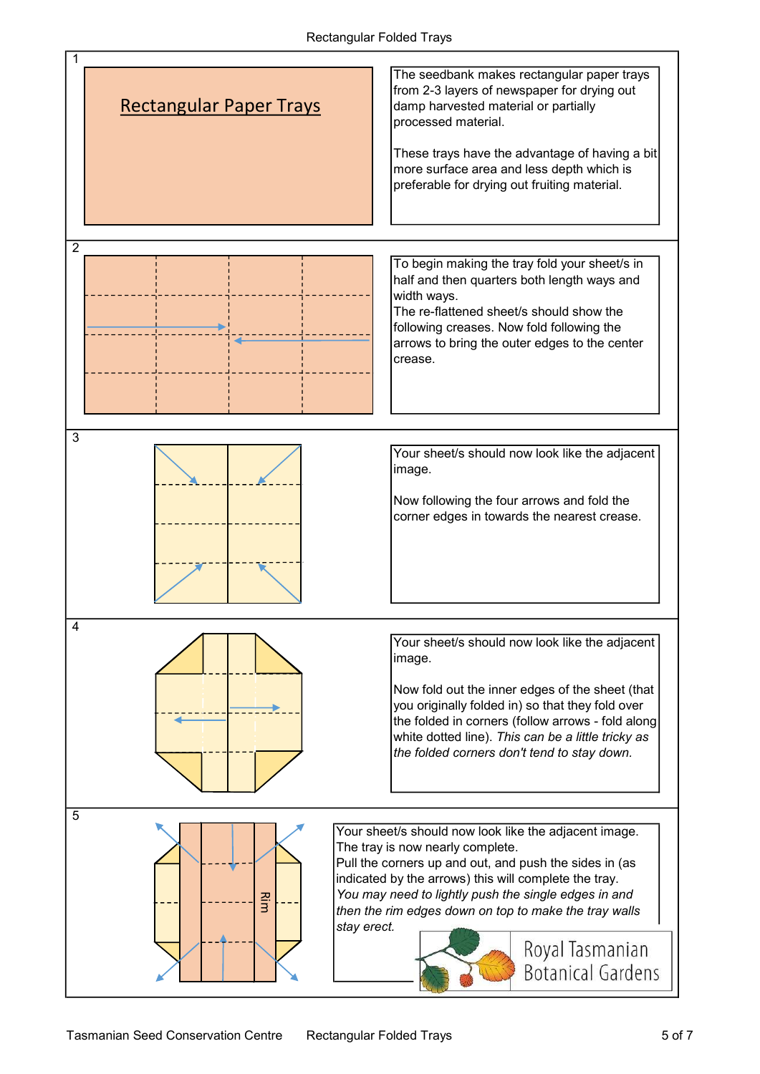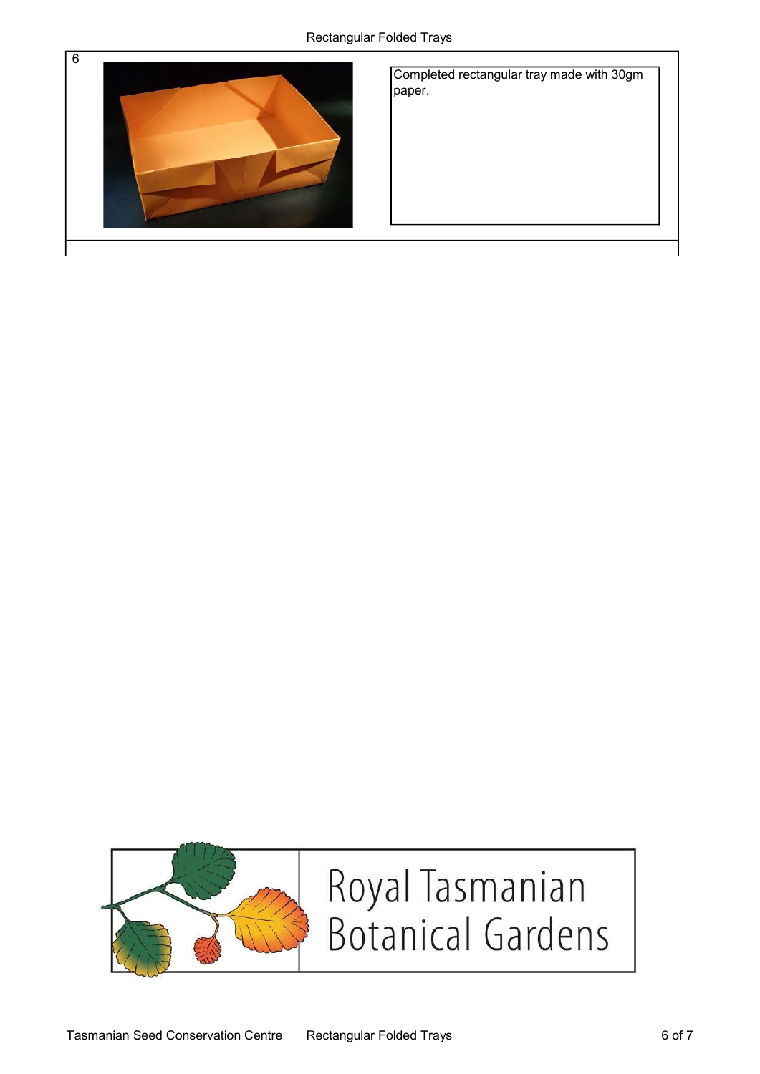

Completed rectangular tray made with 30gm paper.